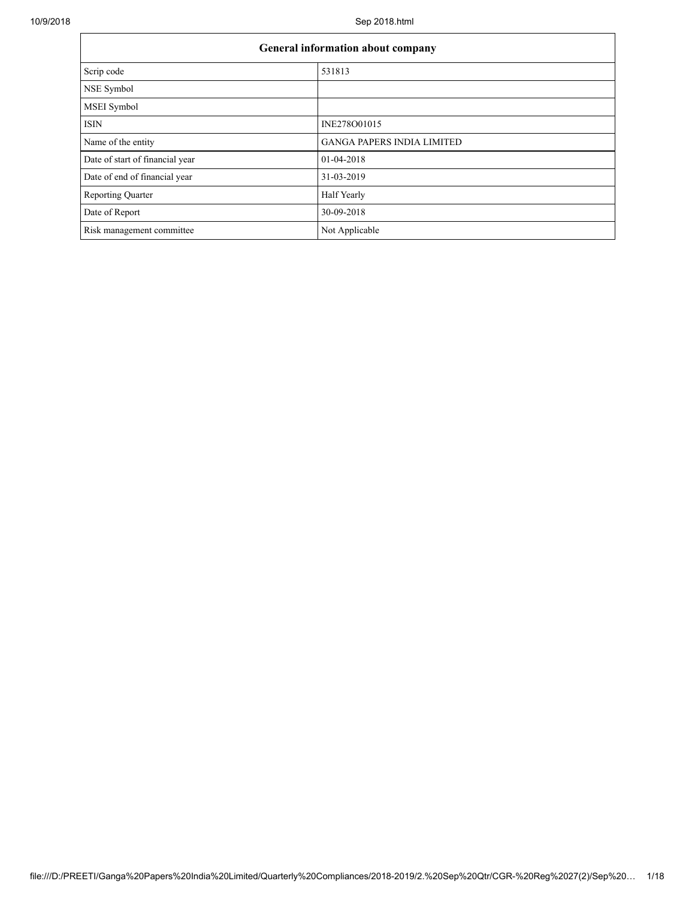| <b>General information about company</b> |                            |  |  |
|------------------------------------------|----------------------------|--|--|
| Scrip code                               | 531813                     |  |  |
| NSE Symbol                               |                            |  |  |
| <b>MSEI</b> Symbol                       |                            |  |  |
| <b>ISIN</b>                              | INE278O01015               |  |  |
| Name of the entity                       | GANGA PAPERS INDIA LIMITED |  |  |
| Date of start of financial year          | 01-04-2018                 |  |  |
| Date of end of financial year            | 31-03-2019                 |  |  |
| <b>Reporting Quarter</b>                 | Half Yearly                |  |  |
| Date of Report                           | 30-09-2018                 |  |  |
| Risk management committee                | Not Applicable             |  |  |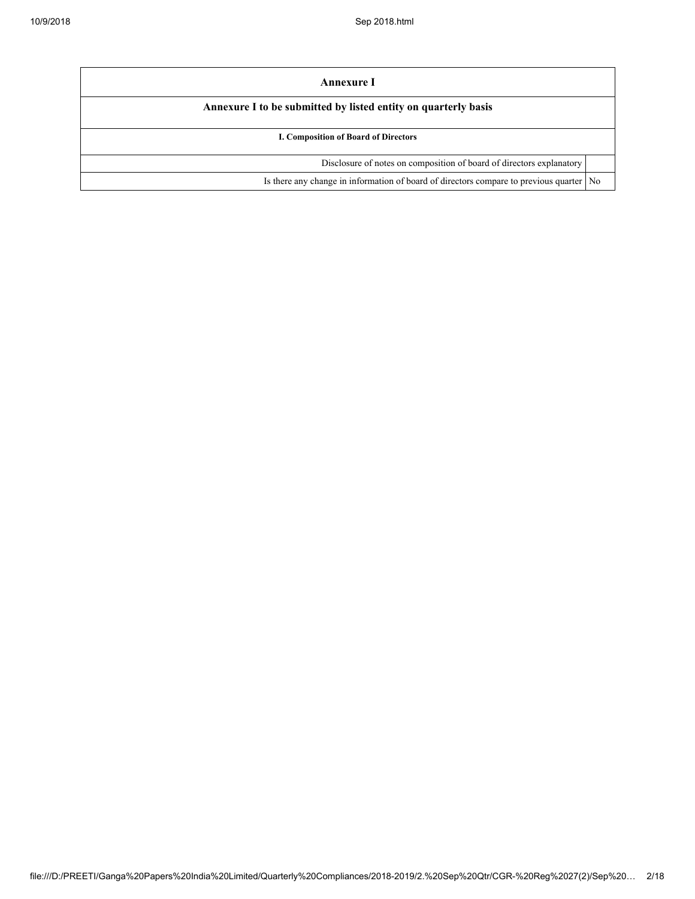| Annexure I                                                                                |  |
|-------------------------------------------------------------------------------------------|--|
| Annexure I to be submitted by listed entity on quarterly basis                            |  |
| <b>I. Composition of Board of Directors</b>                                               |  |
| Disclosure of notes on composition of board of directors explanatory                      |  |
| Is there any change in information of board of directors compare to previous quarter   No |  |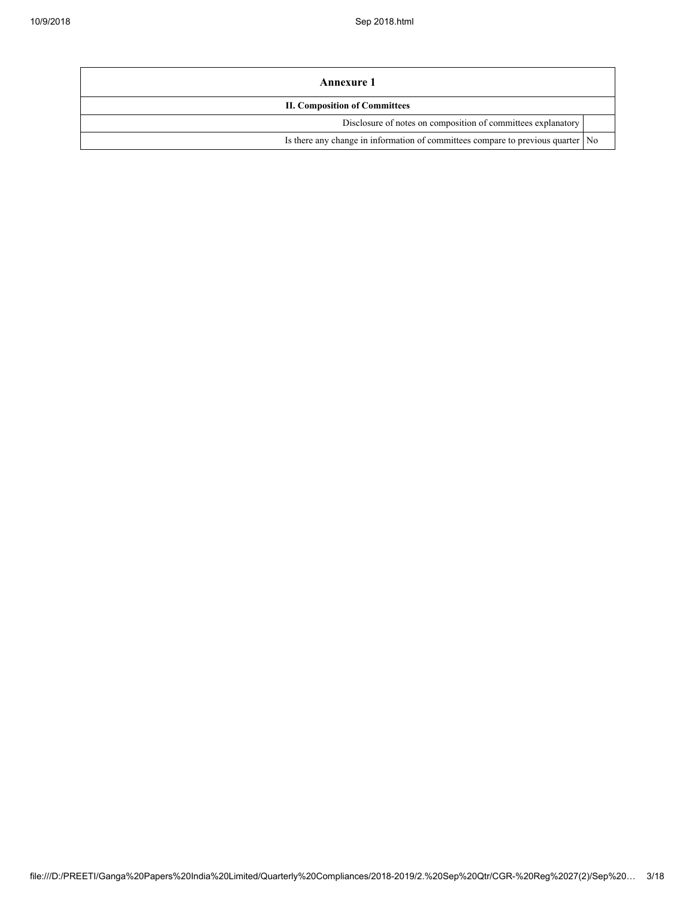| Annexure 1                                                                        |  |  |  |
|-----------------------------------------------------------------------------------|--|--|--|
| <b>II. Composition of Committees</b>                                              |  |  |  |
| Disclosure of notes on composition of committees explanatory                      |  |  |  |
| Is there any change in information of committees compare to previous quarter   No |  |  |  |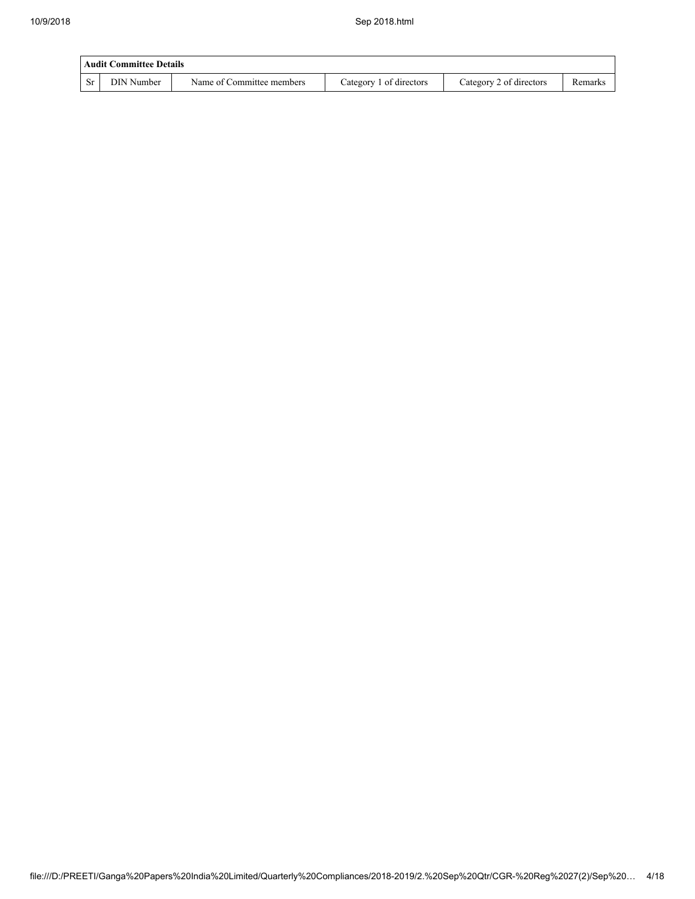| Audit Committee Details |            |                           |                         |                         |         |  |
|-------------------------|------------|---------------------------|-------------------------|-------------------------|---------|--|
| <b>Sr</b>               | DIN Number | Name of Committee members | Category 1 of directors | Category 2 of directors | Remarks |  |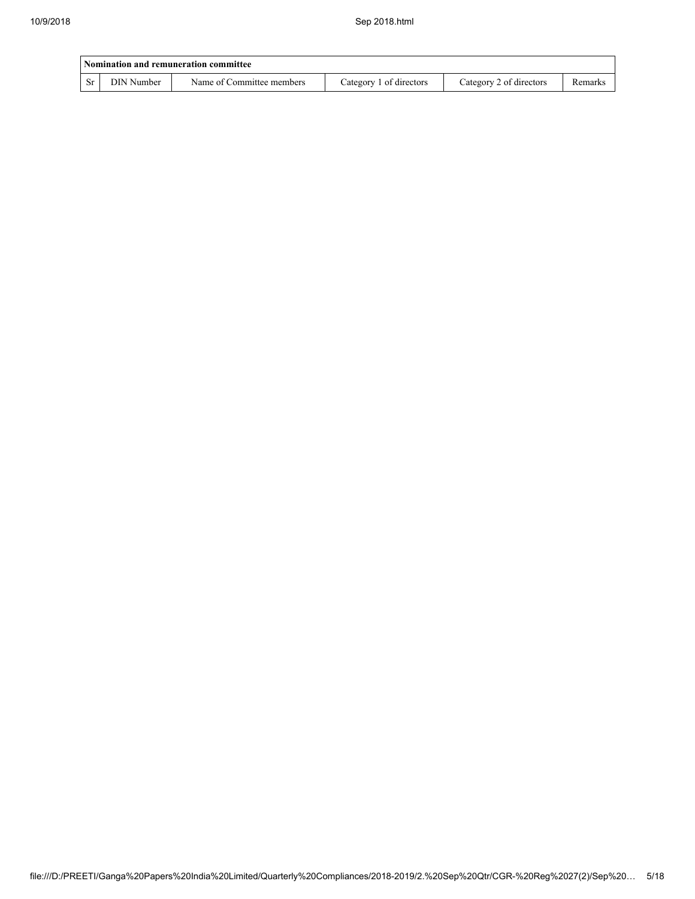| Nomination and remuneration committee |            |                           |                         |                         |         |  |
|---------------------------------------|------------|---------------------------|-------------------------|-------------------------|---------|--|
| <b>Sr</b>                             | DIN Number | Name of Committee members | Category 1 of directors | Category 2 of directors | Remarks |  |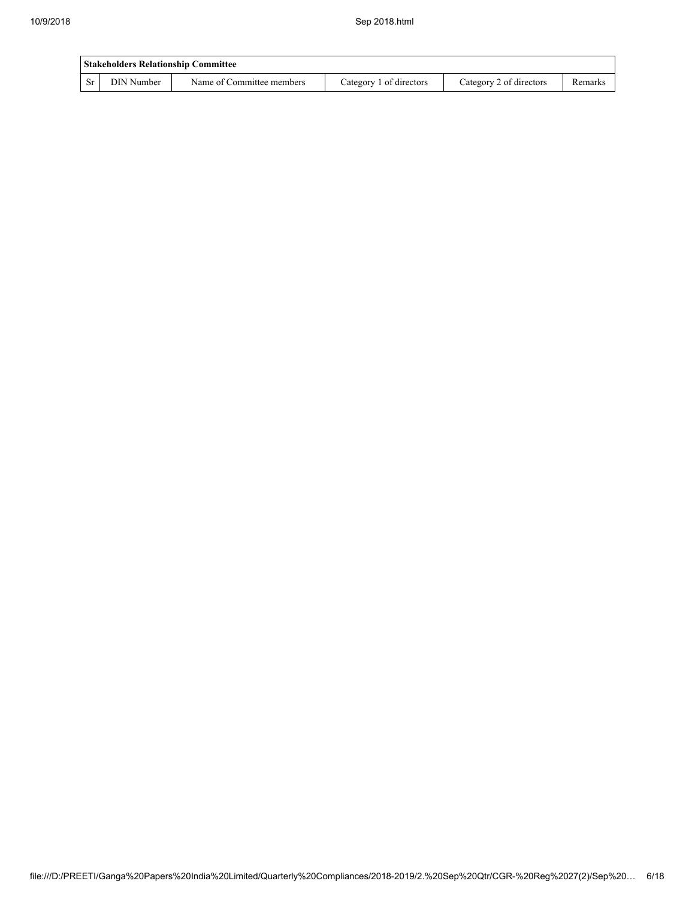| <b>Stakeholders Relationship Committee</b> |            |                           |                         |                         |         |  |
|--------------------------------------------|------------|---------------------------|-------------------------|-------------------------|---------|--|
| -Sr                                        | DIN Number | Name of Committee members | Category 1 of directors | Category 2 of directors | Remarks |  |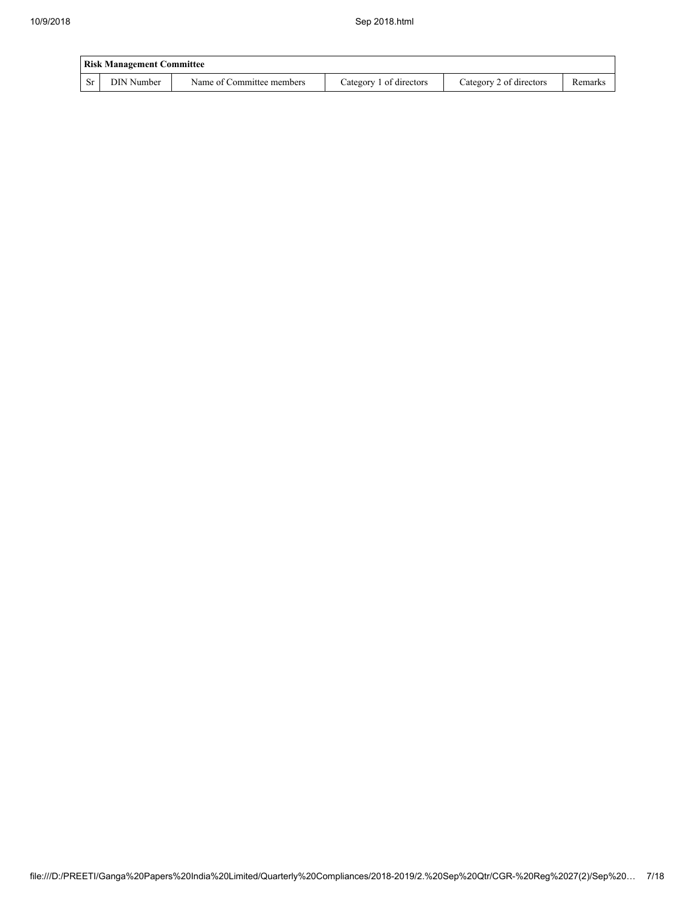| <b>Risk Management Committee</b> |            |                           |                         |                         |         |  |
|----------------------------------|------------|---------------------------|-------------------------|-------------------------|---------|--|
| <b>Sr</b>                        | DIN Number | Name of Committee members | Category 1 of directors | Category 2 of directors | Remarks |  |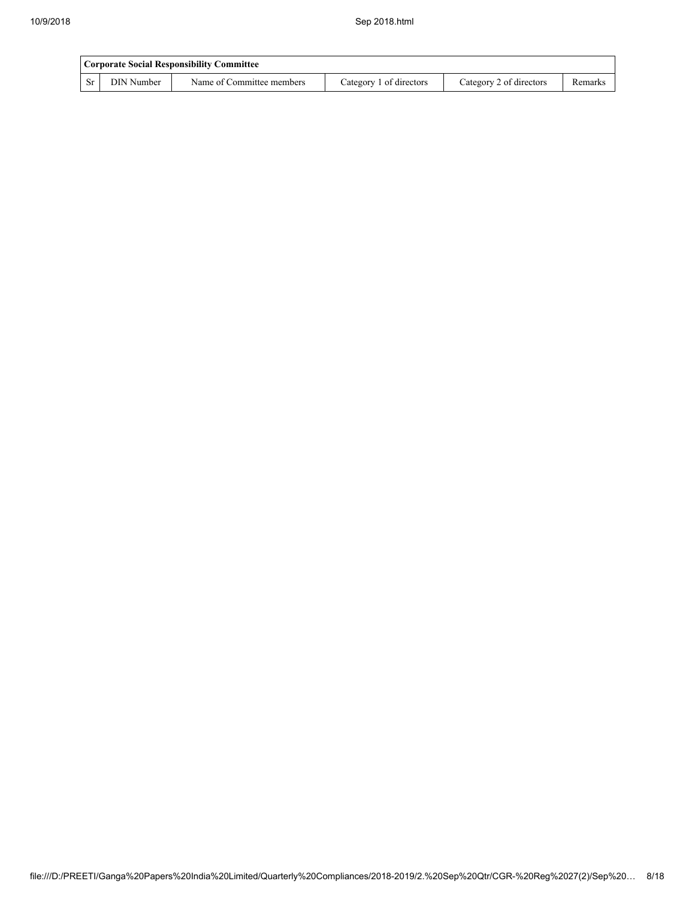|      | Corporate Social Responsibility Committee |                           |                         |                         |         |  |  |
|------|-------------------------------------------|---------------------------|-------------------------|-------------------------|---------|--|--|
| - Sr | DIN Number                                | Name of Committee members | Category 1 of directors | Category 2 of directors | Remarks |  |  |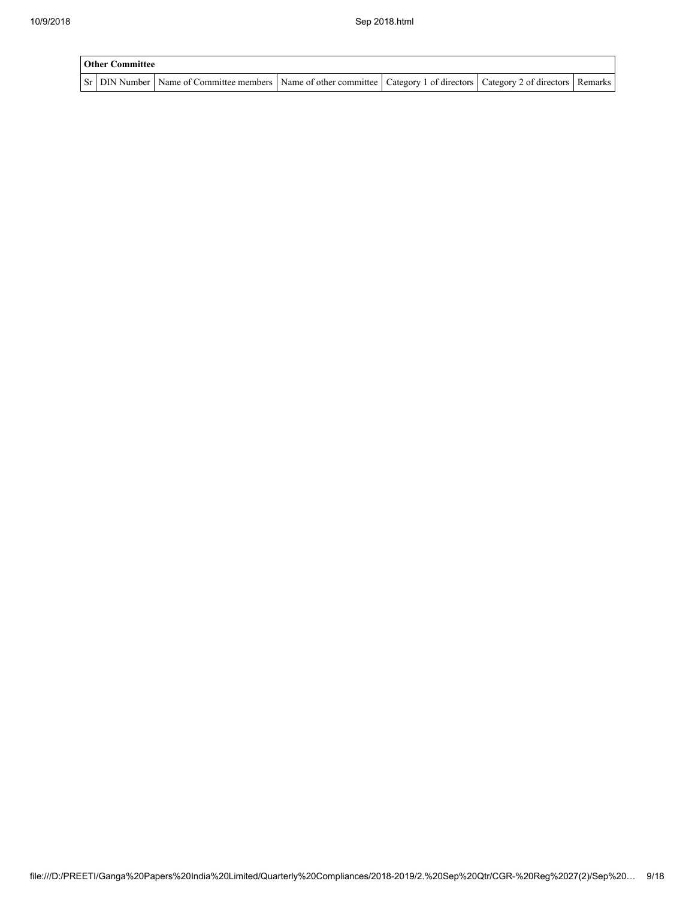| <b>Other Committee</b> |  |                                                                                                                                     |  |  |  |  |  |
|------------------------|--|-------------------------------------------------------------------------------------------------------------------------------------|--|--|--|--|--|
|                        |  | Sr   DIN Number   Name of Committee members   Name of other committee   Category 1 of directors   Category 2 of directors   Remarks |  |  |  |  |  |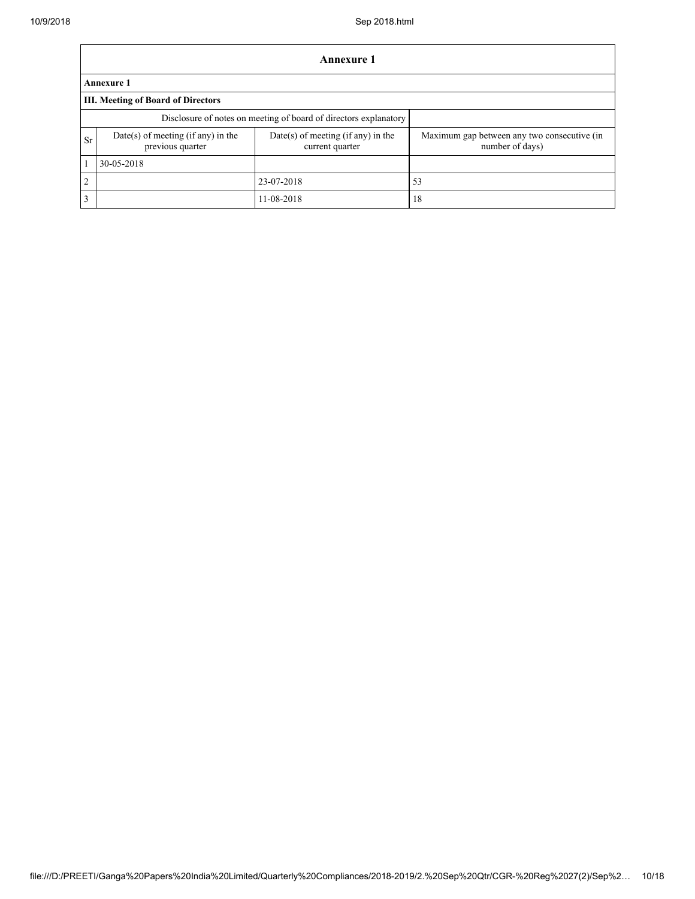|                | Annexure 1                                             |                                                                  |                                                                |  |  |  |  |
|----------------|--------------------------------------------------------|------------------------------------------------------------------|----------------------------------------------------------------|--|--|--|--|
|                | <b>Annexure 1</b>                                      |                                                                  |                                                                |  |  |  |  |
|                | III. Meeting of Board of Directors                     |                                                                  |                                                                |  |  |  |  |
|                |                                                        | Disclosure of notes on meeting of board of directors explanatory |                                                                |  |  |  |  |
| <b>Sr</b>      | Date(s) of meeting (if any) in the<br>previous quarter | Date(s) of meeting (if any) in the<br>current quarter            | Maximum gap between any two consecutive (in<br>number of days) |  |  |  |  |
|                | 30-05-2018                                             |                                                                  |                                                                |  |  |  |  |
| $\overline{2}$ |                                                        | 23-07-2018                                                       | 53                                                             |  |  |  |  |
| 3              |                                                        | 11-08-2018                                                       | 18                                                             |  |  |  |  |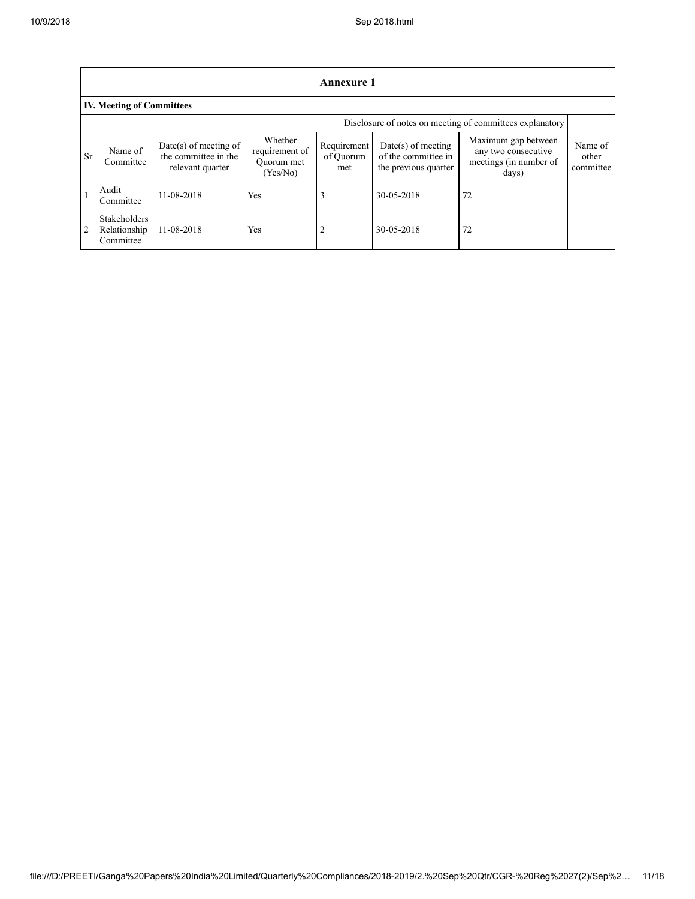|                | <b>Annexure 1</b>                                        |                                                                   |                                                     |                                 |                                                                     |                                                                               |                               |  |  |
|----------------|----------------------------------------------------------|-------------------------------------------------------------------|-----------------------------------------------------|---------------------------------|---------------------------------------------------------------------|-------------------------------------------------------------------------------|-------------------------------|--|--|
|                | <b>IV. Meeting of Committees</b>                         |                                                                   |                                                     |                                 |                                                                     |                                                                               |                               |  |  |
|                | Disclosure of notes on meeting of committees explanatory |                                                                   |                                                     |                                 |                                                                     |                                                                               |                               |  |  |
| <b>Sr</b>      | Name of<br>Committee                                     | Date(s) of meeting of<br>the committee in the<br>relevant quarter | Whether<br>requirement of<br>Ouorum met<br>(Yes/No) | Requirement<br>of Ouorum<br>met | $Date(s)$ of meeting<br>of the committee in<br>the previous quarter | Maximum gap between<br>any two consecutive<br>meetings (in number of<br>days) | Name of<br>other<br>committee |  |  |
|                | Audit<br>Committee                                       | 11-08-2018                                                        | Yes                                                 | 3                               | 30-05-2018                                                          | 72                                                                            |                               |  |  |
| $\overline{2}$ | <b>Stakeholders</b><br>Relationship<br>Committee         | 11-08-2018                                                        | Yes                                                 | $\overline{2}$                  | 30-05-2018                                                          | 72                                                                            |                               |  |  |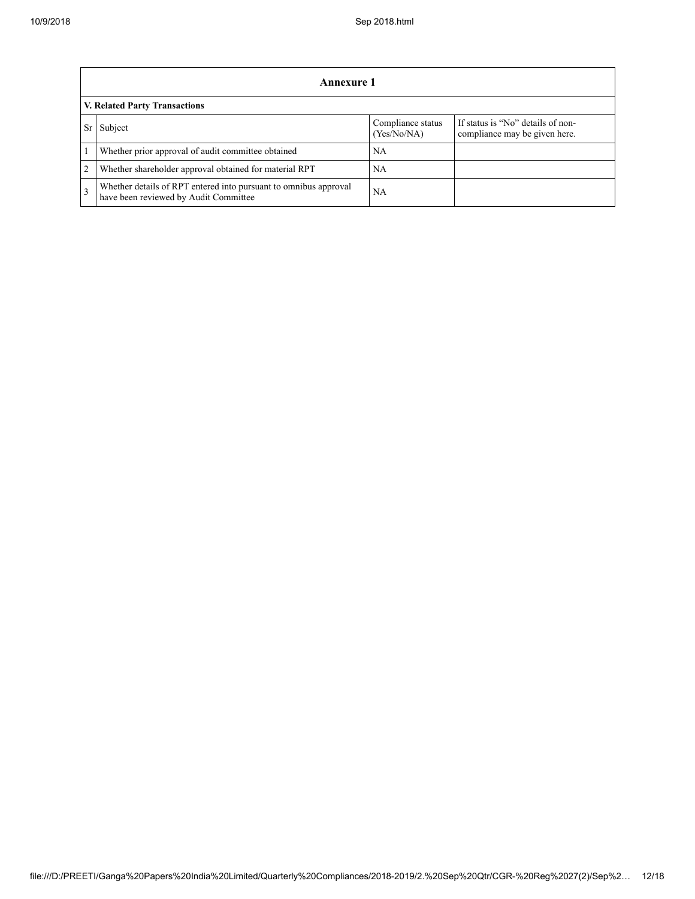|               | Annexure 1                                                                                                |                                  |                                                                    |  |  |  |
|---------------|-----------------------------------------------------------------------------------------------------------|----------------------------------|--------------------------------------------------------------------|--|--|--|
|               | <b>V. Related Party Transactions</b>                                                                      |                                  |                                                                    |  |  |  |
|               | Subject                                                                                                   | Compliance status<br>(Yes/No/NA) | If status is "No" details of non-<br>compliance may be given here. |  |  |  |
|               | Whether prior approval of audit committee obtained                                                        | NΑ                               |                                                                    |  |  |  |
| 2             | Whether shareholder approval obtained for material RPT                                                    | NΑ                               |                                                                    |  |  |  |
| $\mathcal{E}$ | Whether details of RPT entered into pursuant to omnibus approval<br>have been reviewed by Audit Committee | <b>NA</b>                        |                                                                    |  |  |  |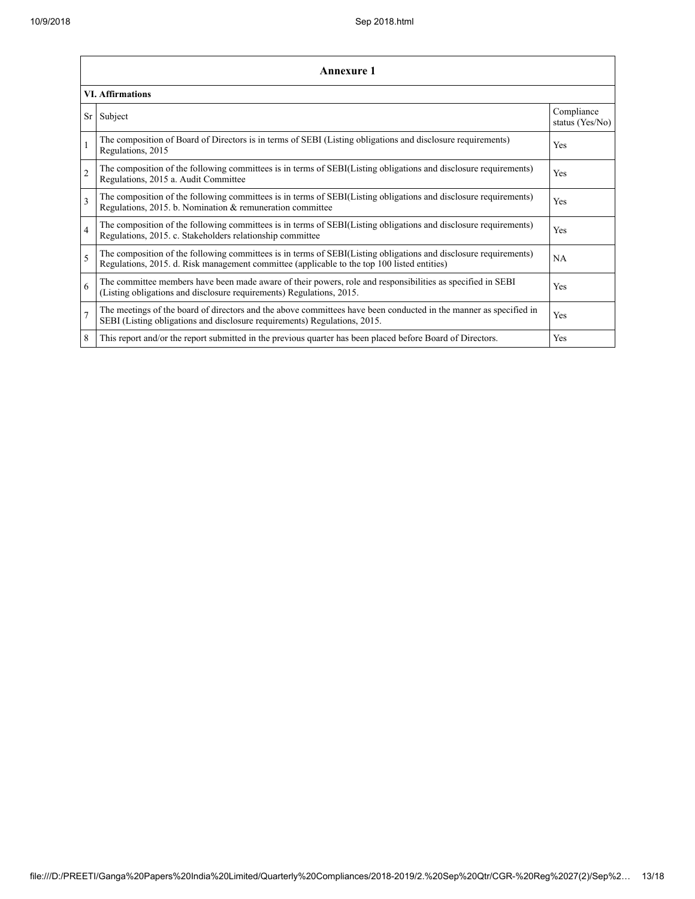|                | <b>Annexure 1</b>                                                                                                                                                                                               |                               |  |  |  |  |
|----------------|-----------------------------------------------------------------------------------------------------------------------------------------------------------------------------------------------------------------|-------------------------------|--|--|--|--|
|                | <b>VI. Affirmations</b>                                                                                                                                                                                         |                               |  |  |  |  |
| Sr             | Subject                                                                                                                                                                                                         | Compliance<br>status (Yes/No) |  |  |  |  |
| $\mathbf{1}$   | The composition of Board of Directors is in terms of SEBI (Listing obligations and disclosure requirements)<br>Regulations, 2015                                                                                | Yes                           |  |  |  |  |
| $\overline{2}$ | The composition of the following committees is in terms of SEBI(Listing obligations and disclosure requirements)<br>Regulations, 2015 a. Audit Committee                                                        | <b>Yes</b>                    |  |  |  |  |
| 3              | The composition of the following committees is in terms of SEBI(Listing obligations and disclosure requirements)<br>Regulations, 2015. b. Nomination & remuneration committee                                   | Yes                           |  |  |  |  |
| $\overline{4}$ | The composition of the following committees is in terms of SEBI(Listing obligations and disclosure requirements)<br>Regulations, 2015. c. Stakeholders relationship committee                                   | Yes                           |  |  |  |  |
| 5              | The composition of the following committees is in terms of SEBI(Listing obligations and disclosure requirements)<br>Regulations, 2015. d. Risk management committee (applicable to the top 100 listed entities) | <b>NA</b>                     |  |  |  |  |
| 6              | The committee members have been made aware of their powers, role and responsibilities as specified in SEBI<br>(Listing obligations and disclosure requirements) Regulations, 2015.                              | <b>Yes</b>                    |  |  |  |  |
| $\overline{7}$ | The meetings of the board of directors and the above committees have been conducted in the manner as specified in<br>SEBI (Listing obligations and disclosure requirements) Regulations, 2015.                  | Yes                           |  |  |  |  |
| 8              | This report and/or the report submitted in the previous quarter has been placed before Board of Directors.                                                                                                      | Yes                           |  |  |  |  |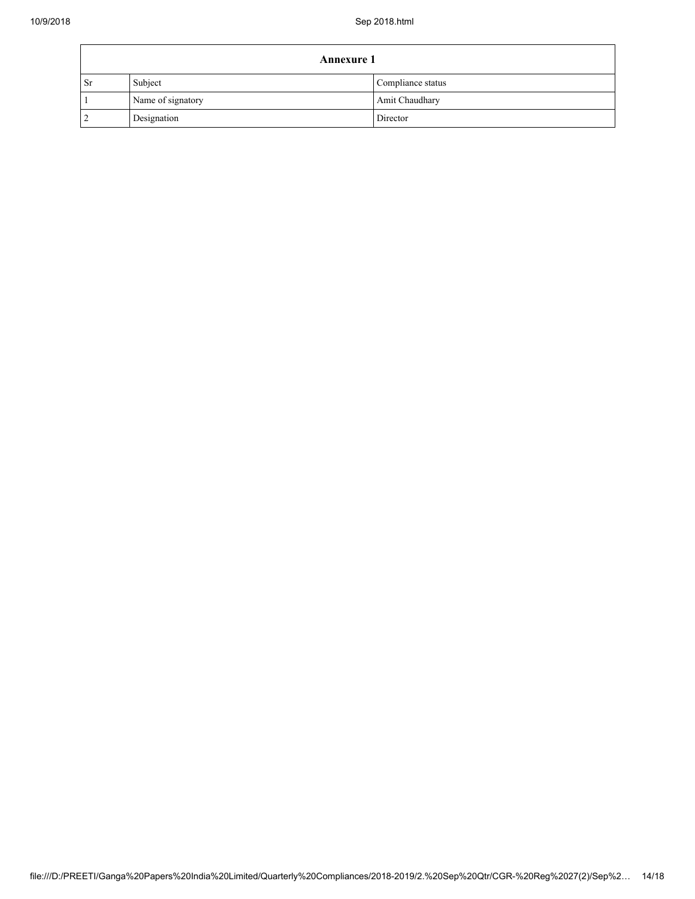| <b>Annexure 1</b> |                   |                   |  |
|-------------------|-------------------|-------------------|--|
| <b>Sr</b>         | Subject           | Compliance status |  |
|                   | Name of signatory | Amit Chaudhary    |  |
|                   | Designation       | Director          |  |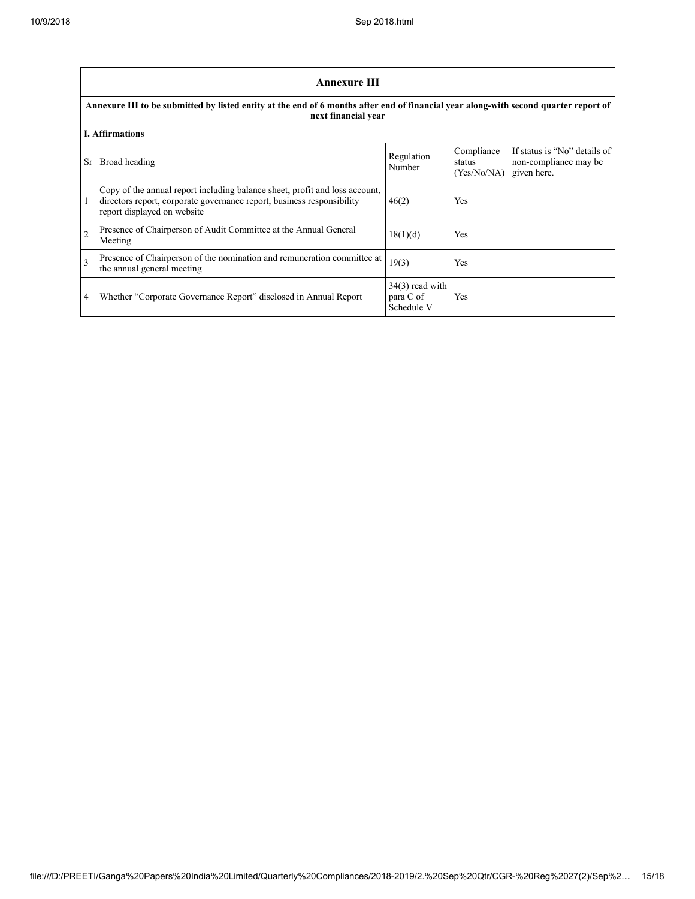٦

|                                                                                                                                                             | <b>Annexure III</b>                                                                                                                                                                  |                                              |                                     |                                                                      |  |  |
|-------------------------------------------------------------------------------------------------------------------------------------------------------------|--------------------------------------------------------------------------------------------------------------------------------------------------------------------------------------|----------------------------------------------|-------------------------------------|----------------------------------------------------------------------|--|--|
| Annexure III to be submitted by listed entity at the end of 6 months after end of financial year along-with second quarter report of<br>next financial year |                                                                                                                                                                                      |                                              |                                     |                                                                      |  |  |
|                                                                                                                                                             | <b>I. Affirmations</b>                                                                                                                                                               |                                              |                                     |                                                                      |  |  |
| Sr.                                                                                                                                                         | Broad heading                                                                                                                                                                        | Regulation<br>Number                         | Compliance<br>status<br>(Yes/No/NA) | If status is "No" details of<br>non-compliance may be<br>given here. |  |  |
|                                                                                                                                                             | Copy of the annual report including balance sheet, profit and loss account,<br>directors report, corporate governance report, business responsibility<br>report displayed on website | 46(2)                                        | Yes                                 |                                                                      |  |  |
| $\overline{2}$                                                                                                                                              | Presence of Chairperson of Audit Committee at the Annual General<br>Meeting                                                                                                          | 18(1)(d)                                     | Yes                                 |                                                                      |  |  |
| 3                                                                                                                                                           | Presence of Chairperson of the nomination and remuneration committee at<br>the annual general meeting                                                                                | 19(3)                                        | Yes                                 |                                                                      |  |  |
| 4                                                                                                                                                           | Whether "Corporate Governance Report" disclosed in Annual Report                                                                                                                     | $34(3)$ read with<br>para C of<br>Schedule V | Yes                                 |                                                                      |  |  |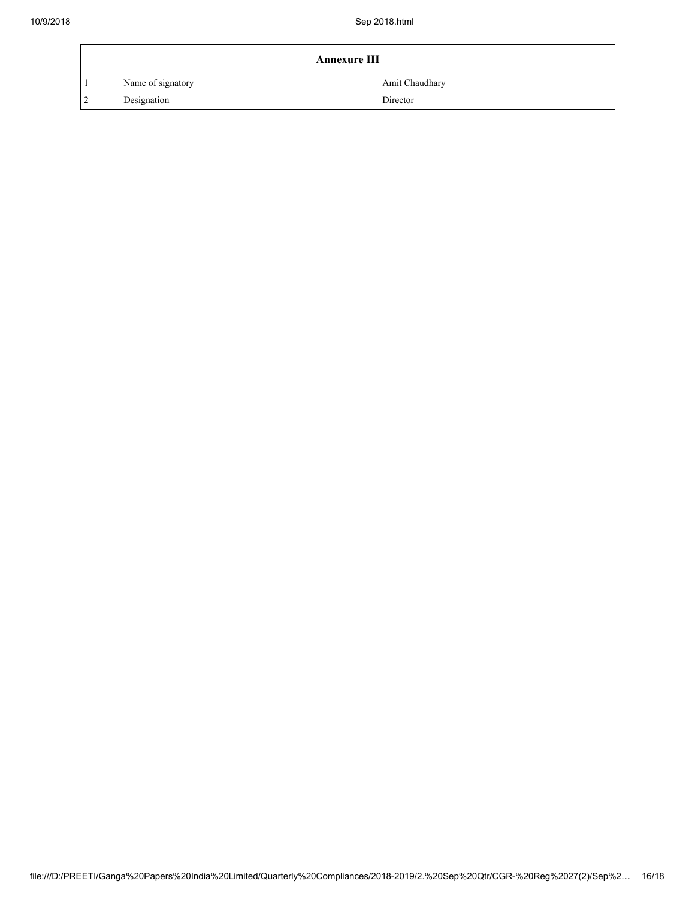| <b>Annexure III</b> |                   |                |  |  |
|---------------------|-------------------|----------------|--|--|
|                     | Name of signatory | Amit Chaudhary |  |  |
| $\overline{2}$      | Designation       | Director       |  |  |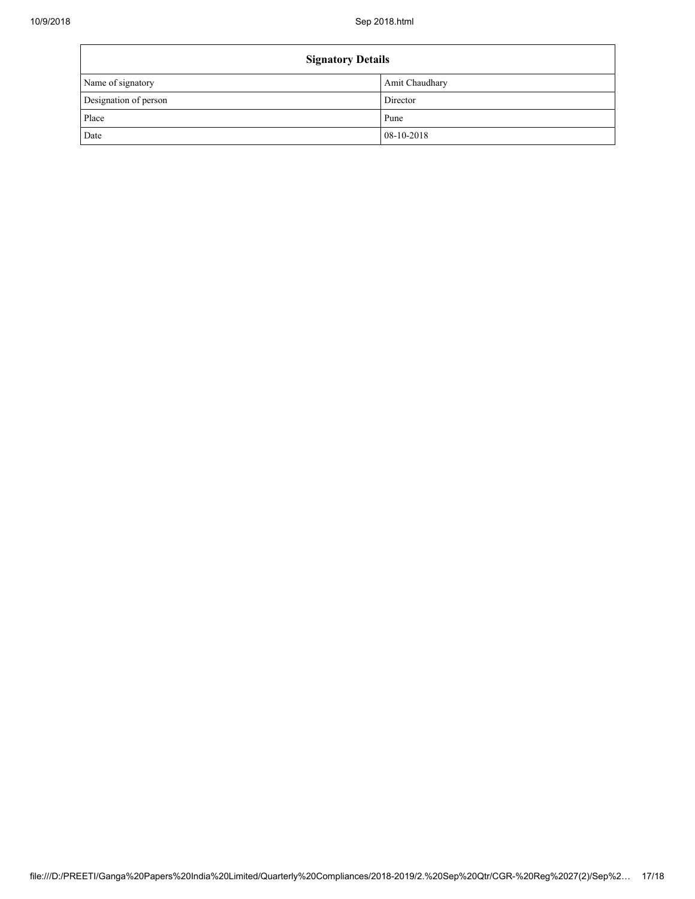| <b>Signatory Details</b> |                |  |
|--------------------------|----------------|--|
| Name of signatory        | Amit Chaudhary |  |
| Designation of person    | Director       |  |
| Place                    | Pune           |  |
| Date                     | 08-10-2018     |  |